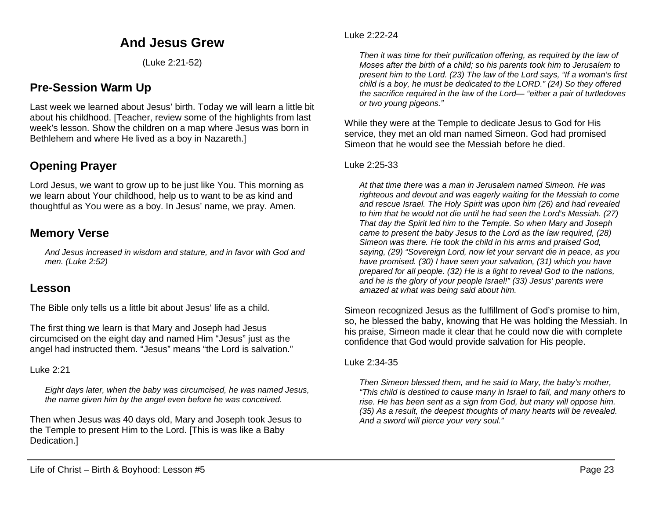# **And Jesus Grew**

(Luke 2:21-52)

# **Pre-Session Warm Up**

Last week we learned about Jesus' birth. Today we will learn a little bit about his childhood. [Teacher, review some of the highlights from last week's lesson. Show the children on a map where Jesus was born in Bethlehem and where He lived as a boy in Nazareth.]

# **Opening Prayer**

Lord Jesus, we want to grow up to be just like You. This morning as we learn about Your childhood, help us to want to be as kind and thoughtful as You were as a boy. In Jesus' name, we pray. Amen.

## **Memory Verse**

*And Jesus increased in wisdom and stature, and in favor with God and men. (Luke 2:52)*

## **Lesson**

The Bible only tells us a little bit about Jesus' life as a child.

The first thing we learn is that Mary and Joseph had Jesus circumcised on the eight day and named Him "Jesus" just as the angel had instructed them. "Jesus" means "the Lord is salvation."

Luke 2:21

*Eight days later, when the baby was circumcised, he was named Jesus, the name given him by the angel even before he was conceived.*

Then when Jesus was 40 days old, Mary and Joseph took Jesus to the Temple to present Him to the Lord. [This is was like a Baby Dedication.]

#### Luke 2:22-24

*Then it was time for their purification offering, as required by the law of Moses after the birth of a child; so his parents took him to Jerusalem to present him to the Lord. (23) The law of the Lord says, "If a woman's first child is a boy, he must be dedicated to the LORD." (24) So they offered the sacrifice required in the law of the Lord— "either a pair of turtledoves or two young pigeons."*

While they were at the Temple to dedicate Jesus to God for His service, they met an old man named Simeon. God had promised Simeon that he would see the Messiah before he died.

## Luke 2:25-33

*At that time there was a man in Jerusalem named Simeon. He was righteous and devout and was eagerly waiting for the Messiah to come and rescue Israel. The Holy Spirit was upon him (26) and had revealed to him that he would not die until he had seen the Lord's Messiah. (27) That day the Spirit led him to the Temple. So when Mary and Joseph came to present the baby Jesus to the Lord as the law required, (28) Simeon was there. He took the child in his arms and praised God, saying, (29) "Sovereign Lord, now let your servant die in peace, as you have promised. (30) I have seen your salvation, (31) which you have prepared for all people. (32) He is a light to reveal God to the nations, and he is the glory of your people Israel!" (33) Jesus' parents were amazed at what was being said about him.*

Simeon recognized Jesus as the fulfillment of God's promise to him, so, he blessed the baby, knowing that He was holding the Messiah. In his praise, Simeon made it clear that he could now die with complete confidence that God would provide salvation for His people.

## Luke 2:34-35

*Then Simeon blessed them, and he said to Mary, the baby's mother, "This child is destined to cause many in Israel to fall, and many others to rise. He has been sent as a sign from God, but many will oppose him. (35) As a result, the deepest thoughts of many hearts will be revealed. And a sword will pierce your very soul."*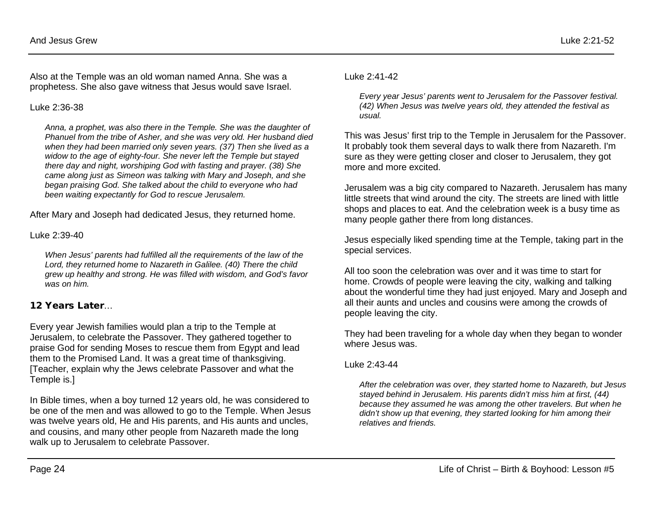Also at the Temple was an old woman named Anna. She was a prophetess. She also gave witness that Jesus would save Israel.

#### Luke 2:36-38

*Anna, a prophet, was also there in the Temple. She was the daughter of Phanuel from the tribe of Asher, and she was very old. Her husband died when they had been married only seven years. (37) Then she lived as a widow to the age of eighty-four. She never left the Temple but stayed there day and night, worshiping God with fasting and prayer. (38) She came along just as Simeon was talking with Mary and Joseph, and she began praising God. She talked about the child to everyone who had been waiting expectantly for God to rescue Jerusalem.*

After Mary and Joseph had dedicated Jesus, they returned home.

Luke 2:39-40

*When Jesus' parents had fulfilled all the requirements of the law of the Lord, they returned home to Nazareth in Galilee. (40) There the child grew up healthy and strong. He was filled with wisdom, and God's favor was on him.*

## 12 Years Later…

Every year Jewish families would plan a trip to the Temple at Jerusalem, to celebrate the Passover. They gathered together to praise God for sending Moses to rescue them from Egypt and lead them to the Promised Land. It was a great time of thanksgiving. [Teacher, explain why the Jews celebrate Passover and what the Temple is.]

In Bible times, when a boy turned 12 years old, he was considered to be one of the men and was allowed to go to the Temple. When Jesus was twelve years old, He and His parents, and His aunts and uncles, and cousins, and many other people from Nazareth made the long walk up to Jerusalem to celebrate Passover.

Luke 2:41-42

*Every year Jesus' parents went to Jerusalem for the Passover festival. (42) When Jesus was twelve years old, they attended the festival as usual.*

This was Jesus' first trip to the Temple in Jerusalem for the Passover. It probably took them several days to walk there from Nazareth. I'm sure as they were getting closer and closer to Jerusalem, they got more and more excited.

Jerusalem was a big city compared to Nazareth. Jerusalem has many little streets that wind around the city. The streets are lined with little shops and places to eat. And the celebration week is a busy time as many people gather there from long distances.

Jesus especially liked spending time at the Temple, taking part in the special services.

All too soon the celebration was over and it was time to start for home. Crowds of people were leaving the city, walking and talking about the wonderful time they had just enjoyed. Mary and Joseph and all their aunts and uncles and cousins were among the crowds of people leaving the city.

They had been traveling for a whole day when they began to wonder where Jesus was.

Luke 2:43-44

*After the celebration was over, they started home to Nazareth, but Jesus stayed behind in Jerusalem. His parents didn't miss him at first, (44) because they assumed he was among the other travelers. But when he didn't show up that evening, they started looking for him among their relatives and friends.*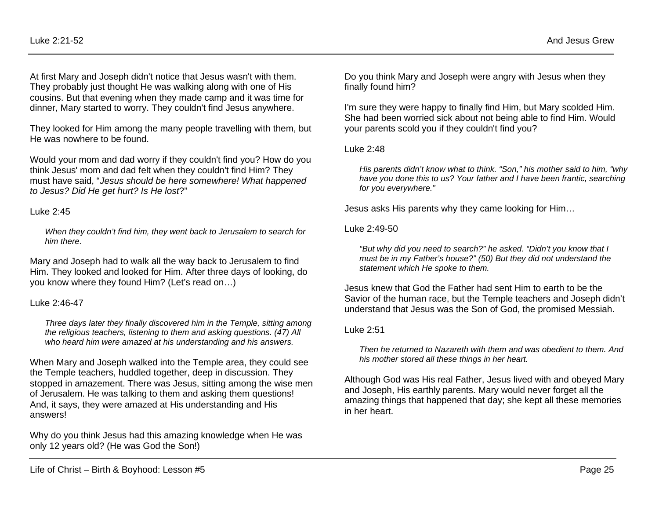At first Mary and Joseph didn't notice that Jesus wasn't with them. They probably just thought He was walking along with one of His cousins. But that evening when they made camp and it was time for dinner, Mary started to worry. They couldn't find Jesus anywhere.

They looked for Him among the many people travelling with them, but He was nowhere to be found.

Would your mom and dad worry if they couldn't find you? How do you think Jesus' mom and dad felt when they couldn't find Him? They must have said, "*Jesus should be here somewhere! What happened to Jesus? Did He get hurt? Is He lost*?"

#### Luke 2:45

*When they couldn't find him, they went back to Jerusalem to search for him there.*

Mary and Joseph had to walk all the way back to Jerusalem to find Him. They looked and looked for Him. After three days of looking, do you know where they found Him? (Let's read on…)

## Luke 2:46-47

*Three days later they finally discovered him in the Temple, sitting among the religious teachers, listening to them and asking questions. (47) All who heard him were amazed at his understanding and his answers.*

When Mary and Joseph walked into the Temple area, they could see the Temple teachers, huddled together, deep in discussion. They stopped in amazement. There was Jesus, sitting among the wise men of Jerusalem. He was talking to them and asking them questions! And, it says, they were amazed at His understanding and His answers!

Why do you think Jesus had this amazing knowledge when He was only 12 years old? (He was God the Son!)

Do you think Mary and Joseph were angry with Jesus when they finally found him?

I'm sure they were happy to finally find Him, but Mary scolded Him. She had been worried sick about not being able to find Him. Would your parents scold you if they couldn't find you?

## Luke 2:48

*His parents didn't know what to think. "Son," his mother said to him, "why have you done this to us? Your father and I have been frantic, searching for you everywhere."*

Jesus asks His parents why they came looking for Him…

## Luke 2:49-50

*"But why did you need to search?" he asked. "Didn't you know that I must be in my Father's house?" (50) But they did not understand the statement which He spoke to them.*

Jesus knew that God the Father had sent Him to earth to be the Savior of the human race, but the Temple teachers and Joseph didn't understand that Jesus was the Son of God, the promised Messiah.

## Luke 2:51

*Then he returned to Nazareth with them and was obedient to them. And his mother stored all these things in her heart.*

Although God was His real Father, Jesus lived with and obeyed Mary and Joseph, His earthly parents. Mary would never forget all the amazing things that happened that day; she kept all these memories in her heart.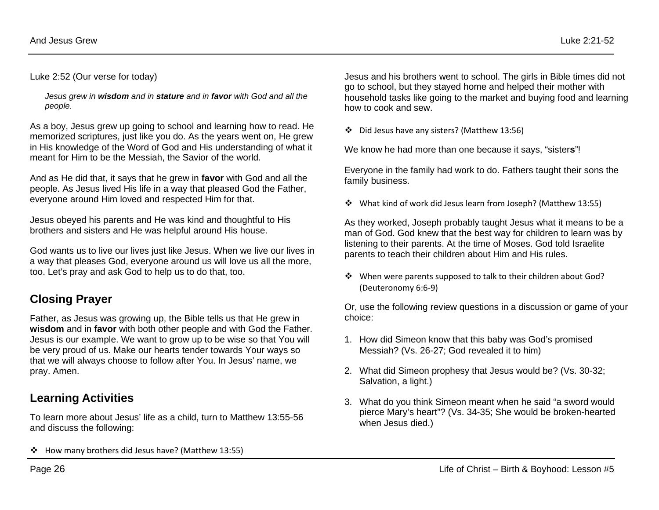Luke 2:52 (Our verse for today)

*Jesus grew in wisdom and in stature and in favor with God and all the people.*

As a boy, Jesus grew up going to school and learning how to read. He memorized scriptures, just like you do. As the years went on, He grew in His knowledge of the Word of God and His understanding of what it meant for Him to be the Messiah, the Savior of the world.

And as He did that, it says that he grew in **favor** with God and all the people. As Jesus lived His life in a way that pleased God the Father, everyone around Him loved and respected Him for that.

Jesus obeyed his parents and He was kind and thoughtful to His brothers and sisters and He was helpful around His house.

God wants us to live our lives just like Jesus. When we live our lives in a way that pleases God, everyone around us will love us all the more, too. Let's pray and ask God to help us to do that, too.

# **Closing Prayer**

Father, as Jesus was growing up, the Bible tells us that He grew in **wisdom** and in **favor** with both other people and with God the Father. Jesus is our example. We want to grow up to be wise so that You will be very proud of us. Make our hearts tender towards Your ways so that we will always choose to follow after You. In Jesus' name, we pray. Amen.

# **Learning Activities**

To learn more about Jesus' life as a child, turn to Matthew 13:55-56 and discuss the following:

\* How many brothers did Jesus have? (Matthew 13:55)

Jesus and his brothers went to school. The girls in Bible times did not go to school, but they stayed home and helped their mother with household tasks like going to the market and buying food and learning how to cook and sew.

Did Jesus have any sisters? (Matthew 13:56)

We know he had more than one because it says, "sister**s**"!

Everyone in the family had work to do. Fathers taught their sons the family business.

What kind of work did Jesus learn from Joseph? (Matthew 13:55)

As they worked, Joseph probably taught Jesus what it means to be a man of God. God knew that the best way for children to learn was by listening to their parents. At the time of Moses. God told Israelite parents to teach their children about Him and His rules.

 When were parents supposed to talk to their children about God? (Deuteronomy 6:6-9)

Or, use the following review questions in a discussion or game of your choice:

- 1. How did Simeon know that this baby was God's promised Messiah? (Vs. 26-27; God revealed it to him)
- 2. What did Simeon prophesy that Jesus would be? (Vs. 30-32; Salvation, a light.)
- 3. What do you think Simeon meant when he said "a sword would pierce Mary's heart"? (Vs. 34-35; She would be broken-hearted when Jesus died.)